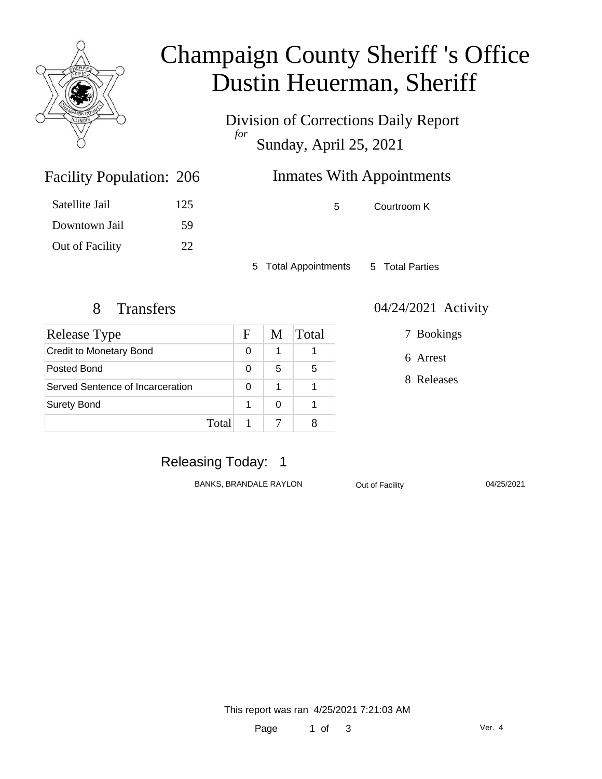

# Champaign County Sheriff 's Office Dustin Heuerman, Sheriff

Division of Corrections Daily Report *for* Sunday, April 25, 2021

## Inmates With Appointments

Satellite Jail 125 Downtown Jail 59 Out of Facility 22

Facility Population: 206

5 Courtroom K

5 Total Appointments 5 Total Parties

| Release Type                     |       | F | M | <b>Total</b> |
|----------------------------------|-------|---|---|--------------|
| <b>Credit to Monetary Bond</b>   |       | 0 | 1 |              |
| Posted Bond                      |       | 0 | 5 | 5            |
| Served Sentence of Incarceration |       | 0 | 1 |              |
| <b>Surety Bond</b>               |       |   | ∩ |              |
|                                  | Total |   |   |              |

#### 8 Transfers 04/24/2021 Activity

7 Bookings

6 Arrest

8 Releases

### Releasing Today: 1

BANKS, BRANDALE RAYLON Out of Facility 04/25/2021

This report was ran 4/25/2021 7:21:03 AM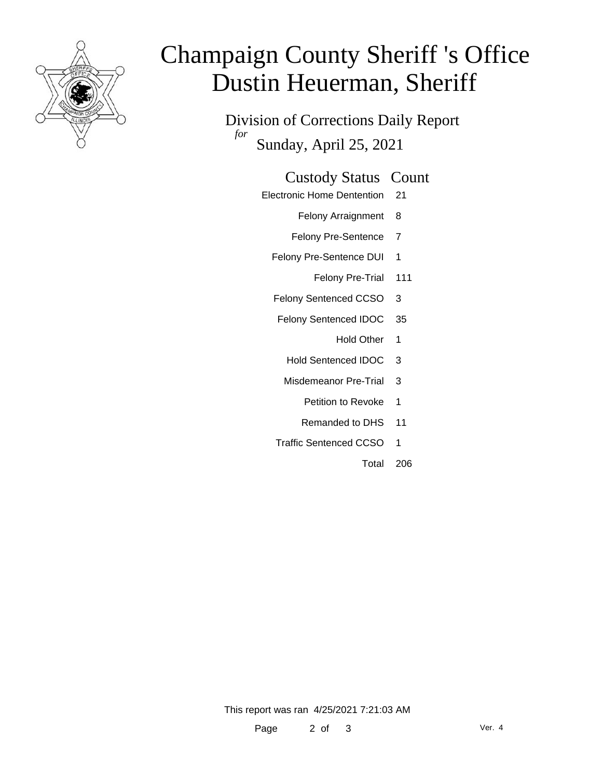

# Champaign County Sheriff 's Office Dustin Heuerman, Sheriff

Division of Corrections Daily Report *for* Sunday, April 25, 2021

#### Custody Status Count

- Electronic Home Dentention 21
	- Felony Arraignment 8
	- Felony Pre-Sentence 7
	- Felony Pre-Sentence DUI 1
		- Felony Pre-Trial 111
	- Felony Sentenced CCSO 3
	- Felony Sentenced IDOC 35
		- Hold Other 1
		- Hold Sentenced IDOC 3
	- Misdemeanor Pre-Trial 3
		- Petition to Revoke 1
		- Remanded to DHS 11
	- Traffic Sentenced CCSO 1
		- Total 206

This report was ran 4/25/2021 7:21:03 AM